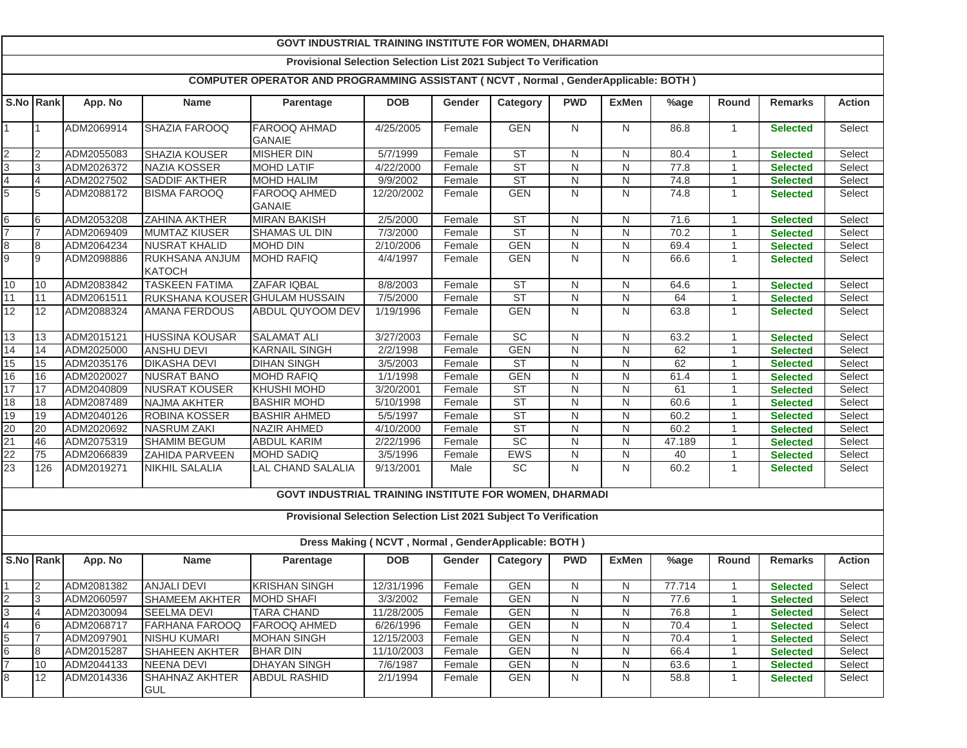|                          | <b>GOVT INDUSTRIAL TRAINING INSTITUTE FOR WOMEN, DHARMADI</b>     |            |                                 |                                                                                    |                                                     |        |            |                |                |         |                |                 |               |
|--------------------------|-------------------------------------------------------------------|------------|---------------------------------|------------------------------------------------------------------------------------|-----------------------------------------------------|--------|------------|----------------|----------------|---------|----------------|-----------------|---------------|
|                          | Provisional Selection Selection List 2021 Subject To Verification |            |                                 |                                                                                    |                                                     |        |            |                |                |         |                |                 |               |
|                          |                                                                   |            |                                 | COMPUTER OPERATOR AND PROGRAMMING ASSISTANT (NCVT, Normal, GenderApplicable: BOTH) |                                                     |        |            |                |                |         |                |                 |               |
|                          | S.No Rank                                                         | App. No    | <b>Name</b>                     | Parentage                                                                          | <b>DOB</b>                                          | Gender | Category   | <b>PWD</b>     | <b>ExMen</b>   | %age    | Round          | <b>Remarks</b>  | <b>Action</b> |
|                          |                                                                   | ADM2069914 | SHAZIA FAROOQ                   | FAROOQ AHMAD<br><b>GANAIE</b>                                                      | 4/25/2005                                           | Female | <b>GEN</b> | N              | N              | 86.8    | $\overline{1}$ | <b>Selected</b> | Select        |
| $\overline{2}$           | 2                                                                 | ADM2055083 | <b>SHAZIA KOUSER</b>            | <b>MISHER DIN</b>                                                                  | 5/7/1999                                            | Female | <b>ST</b>  | N              | N              | 80.4    | $\overline{1}$ | <b>Selected</b> | Select        |
| 3                        | 3                                                                 | ADM2026372 | <b>NAZIA KOSSER</b>             | <b>MOHD LATIF</b>                                                                  | 4/22/2000                                           | Female | <b>ST</b>  | $\mathsf{N}$   | $\mathsf{N}$   | 77.8    | 1              | <b>Selected</b> | Select        |
| $\overline{\mathcal{A}}$ | 4                                                                 | ADM2027502 | <b>SADDIF AKTHER</b>            | <b>MOHD HALIM</b>                                                                  | 9/9/2002                                            | Female | <b>ST</b>  | N              | $\overline{N}$ | 74.8    |                | <b>Selected</b> | Select        |
| 5                        | 5                                                                 | ADM2088172 | <b>BISMA FAROOQ</b>             | FAROOQ AHMED                                                                       | 12/20/2002                                          | Female | <b>GEN</b> | ${\sf N}$      | N              | 74.8    | $\mathbf{1}$   | <b>Selected</b> | Select        |
|                          |                                                                   |            |                                 | <b>GANAIE</b>                                                                      |                                                     |        |            |                |                |         |                |                 |               |
| 6                        | 6                                                                 | ADM2053208 | ZAHINA AKTHER                   | <b>MIRAN BAKISH</b>                                                                | 2/5/2000                                            | Female | <b>ST</b>  | N              | N              | 71.6    | -1             | <b>Selected</b> | Select        |
| $\overline{7}$           |                                                                   | ADM2069409 | <b>MUMTAZ KIUSER</b>            | <b>SHAMAS UL DIN</b>                                                               | 7/3/2000                                            | Female | <b>ST</b>  | $\overline{N}$ | $\overline{N}$ | 70.2    |                | <b>Selected</b> | Select        |
| 8                        | 8                                                                 | ADM2064234 | <b>NUSRAT KHALID</b>            | <b>MOHD DIN</b>                                                                    | 2/10/2006                                           | Female | <b>GEN</b> | ${\sf N}$      | $\overline{N}$ | 69.4    | $\mathbf{1}$   | <b>Selected</b> | Select        |
| 9                        | 9                                                                 | ADM2098886 | RUKHSANA ANJUM<br><b>KATOCH</b> | <b>MOHD RAFIQ</b>                                                                  | 4/4/1997                                            | Female | <b>GEN</b> | ${\sf N}$      | N              | 66.6    | $\mathbf{1}$   | <b>Selected</b> | Select        |
| 10                       | 10                                                                | ADM2083842 | <b>TASKEEN FATIMA</b>           | ZAFAR IQBAL                                                                        | 8/8/2003                                            | Female | <b>ST</b>  | N              | N              | 64.6    | 1              | <b>Selected</b> | Select        |
| 11                       | 11                                                                | ADM2061511 | RUKSHANA KOUSER GHULAM HUSSAIN  |                                                                                    | 7/5/2000                                            | Female | <b>ST</b>  | N              | N              | 64      |                | <b>Selected</b> | Select        |
| 12                       | 12                                                                | ADM2088324 | <b>AMANA FERDOUS</b>            | ABDUL QUYOOM DEV                                                                   | 1/19/1996                                           | Female | <b>GEN</b> | $\mathsf{N}$   | N              | 63.8    | $\mathbf{1}$   | <b>Selected</b> | Select        |
| 13                       | 13                                                                | ADM2015121 | <b>HUSSINA KOUSAR</b>           | <b>SALAMAT ALI</b>                                                                 | 3/27/2003                                           | Female | <b>SC</b>  | N              | N              | 63.2    | $\overline{1}$ | <b>Selected</b> | Select        |
| 14                       | 14                                                                | ADM2025000 | <b>ANSHU DEVI</b>               | <b>KARNAIL SINGH</b>                                                               | 2/2/1998                                            | Female | <b>GEN</b> | $\mathsf{N}$   | N              | 62      | -1             | <b>Selected</b> | Select        |
| 15                       | 15                                                                | ADM2035176 | <b>DIKASHA DEVI</b>             | <b>DIHAN SINGH</b>                                                                 | 3/5/2003                                            | Female | <b>ST</b>  | $\mathsf{N}$   | $\mathsf{N}$   | 62      | $\overline{1}$ | <b>Selected</b> | Select        |
| 16                       | 16                                                                | ADM2020027 | <b>NUSRAT BANO</b>              | <b>MOHD RAFIQ</b>                                                                  | 1/1/1998                                            | Female | <b>GEN</b> | ${\sf N}$      | $\mathsf{N}$   | 61.4    | $\overline{1}$ | <b>Selected</b> | Select        |
| 17                       | 17                                                                | ADM2040809 | <b>NUSRAT KOUSER</b>            | <b>KHUSHI MOHD</b>                                                                 | 3/20/2001                                           | Female | <b>ST</b>  | $\mathsf{N}$   | $\mathsf{N}$   | 61      |                | <b>Selected</b> | Select        |
| 18                       | 18                                                                | ADM2087489 | NAJMA AKHTER                    | <b>BASHIR MOHD</b>                                                                 | 5/10/1998                                           | Female | <b>ST</b>  | $\mathsf{N}$   | N              | 60.6    | -1             | <b>Selected</b> | Select        |
| 19                       | 19                                                                | ADM2040126 | ROBINA KOSSER                   | <b>BASHIR AHMED</b>                                                                | 5/5/1997                                            | Female | <b>ST</b>  | $\mathsf{N}$   | N              | 60.2    |                | <b>Selected</b> | Select        |
| 20                       | 20                                                                | ADM2020692 | <b>NASRUM ZAKI</b>              | <b>NAZIR AHMED</b>                                                                 | 4/10/2000                                           | Female | <b>ST</b>  | $\overline{N}$ | $\overline{N}$ | 60.2    | $\overline{1}$ | <b>Selected</b> | Select        |
| 21                       | 46                                                                | ADM2075319 | <b>SHAMIM BEGUM</b>             | <b>ABDUL KARIM</b>                                                                 | 2/22/1996                                           | Female | SC         | ${\sf N}$      | $\overline{N}$ | 47.189  | $\overline{1}$ | <b>Selected</b> | Select        |
| 22                       | 75                                                                | ADM2066839 | ZAHIDA PARVEEN                  | <b>MOHD SADIQ</b>                                                                  | 3/5/1996                                            | Female | <b>EWS</b> | N              | N              | 40      | $\overline{1}$ | <b>Selected</b> | Select        |
| 23                       | 126                                                               | ADM2019271 | <b>NIKHIL SALALIA</b>           | <b>LAL CHAND SALALIA</b>                                                           | 9/13/2001                                           | Male   | <b>SC</b>  | N              | N              | 60.2    | $\mathbf{1}$   | <b>Selected</b> | Select        |
|                          |                                                                   |            |                                 | GOVT INDUSTRIAL TRAINING INSTITUTE FOR WOMEN, DHARMADI                             |                                                     |        |            |                |                |         |                |                 |               |
|                          |                                                                   |            |                                 | Provisional Selection Selection List 2021 Subject To Verification                  |                                                     |        |            |                |                |         |                |                 |               |
|                          |                                                                   |            |                                 |                                                                                    | Dress Making (NCVT, Normal, GenderApplicable: BOTH) |        |            |                |                |         |                |                 |               |
| S.No Rank                |                                                                   | App. No    | <b>Name</b>                     | Parentage                                                                          | <b>DOB</b>                                          | Gender | Category   | <b>PWD</b>     | <b>ExMen</b>   | $%$ age | Round          | <b>Remarks</b>  | <b>Action</b> |
|                          |                                                                   | ADM2081382 | <b>ANJALI DEVI</b>              | <b>KRISHAN SINGH</b>                                                               | 12/31/1996                                          | Female | <b>GEN</b> | N              | N              | 77.714  |                | <b>Selected</b> | Select        |
| $\overline{2}$           | 3                                                                 | ADM2060597 | SHAMEEM AKHTER                  | <b>MOHD SHAFI</b>                                                                  | 3/3/2002                                            | Female | <b>GEN</b> | N              | N              | 77.6    |                | <b>Selected</b> | Select        |
| 3                        | $\overline{4}$                                                    | ADM2030094 | SEELMA DEVI                     | <b>TARA CHAND</b>                                                                  | 11/28/2005                                          | Female | <b>GEN</b> | N              | N              | 76.8    |                | <b>Selected</b> | Select        |
| $\overline{4}$           | 6                                                                 | ADM2068717 | <b>FARHANA FAROOQ</b>           | <b>FAROOQ AHMED</b>                                                                | 6/26/1996                                           | Female | <b>GEN</b> | $\mathsf{N}$   | N              | 70.4    | $\mathbf{1}$   | <b>Selected</b> | Select        |
| 5                        |                                                                   | ADM2097901 | <b>NISHU KUMARI</b>             | <b>MOHAN SINGH</b>                                                                 | 12/15/2003                                          | Female | <b>GEN</b> | N              | N              | 70.4    |                | <b>Selected</b> | Select        |
| 6                        | 8                                                                 | ADM2015287 | <b>SHAHEEN AKHTER</b>           | <b>BHAR DIN</b>                                                                    | $\overline{11/10/2003}$                             | Female | <b>GEN</b> | N              | N              | 66.4    | -1             | <b>Selected</b> | Select        |
| $\overline{7}$           | 10 <sup>°</sup>                                                   | ADM2044133 | <b>NEENA DEVI</b>               | <b>DHAYAN SINGH</b>                                                                | 7/6/1987                                            | Female | GEN        | N              | N              | 63.6    |                | <b>Selected</b> | Select        |
| 8                        | 12                                                                | ADM2014336 | SHAHNAZ AKHTER<br><b>GUL</b>    | <b>ABDUL RASHID</b>                                                                | 2/1/1994                                            | Female | <b>GEN</b> | N              | N              | 58.8    | $\mathbf{1}$   | <b>Selected</b> | Select        |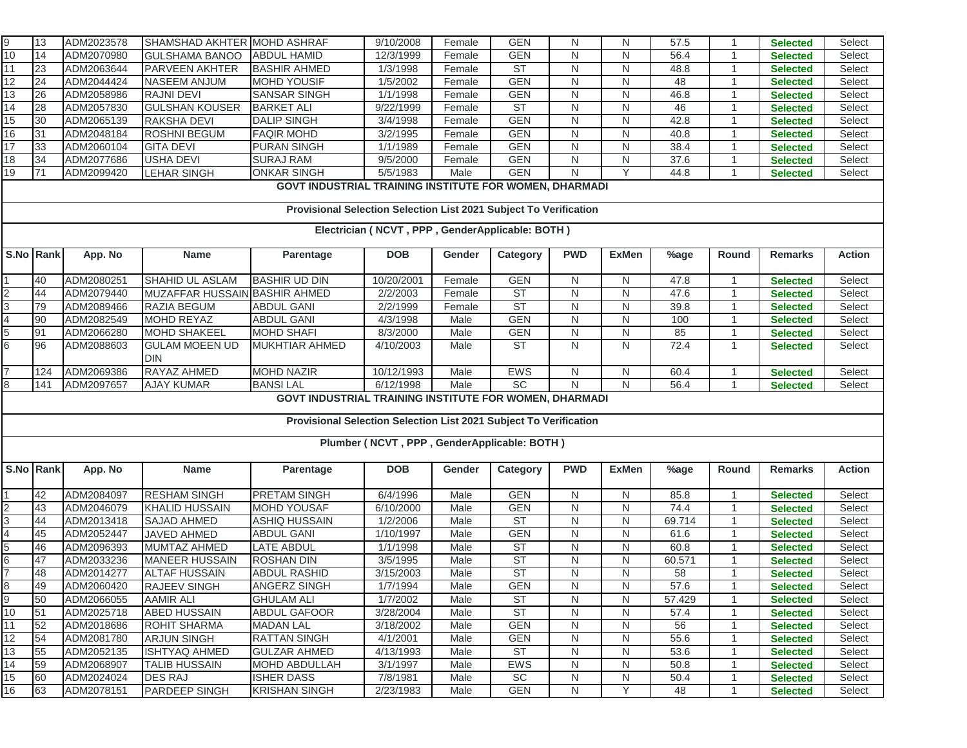| $\frac{9}{10}$                                  | 13                                                                | ADM2023578 | SHAMSHAD AKHTER MOHD ASHRAF   |                                                                   | 9/10/2008                                   | Female | <b>GEN</b> | N              | N            | 57.5   |                | <b>Selected</b> | Select        |
|-------------------------------------------------|-------------------------------------------------------------------|------------|-------------------------------|-------------------------------------------------------------------|---------------------------------------------|--------|------------|----------------|--------------|--------|----------------|-----------------|---------------|
|                                                 | 14                                                                | ADM2070980 | <b>GULSHAMA BANOO</b>         | <b>ABDUL HAMID</b>                                                | 12/3/1999                                   | Female | <b>GEN</b> | N              | N            | 56.4   | 1              | <b>Selected</b> | Select        |
| 11                                              | 23                                                                | ADM2063644 | PARVEEN AKHTER                | <b>BASHIR AHMED</b>                                               | 1/3/1998                                    | Female | <b>ST</b>  | N              | N            | 48.8   |                | <b>Selected</b> | Select        |
| 12                                              | 24                                                                | ADM2044424 | <b>NASEEM ANJUM</b>           | <b>MOHD YOUSIF</b>                                                | 1/5/2002                                    | Female | <b>GEN</b> | N              | N            | 48     |                | <b>Selected</b> | Select        |
| 13                                              | 26                                                                | ADM2058986 | <b>RAJNI DEVI</b>             | <b>SANSAR SINGH</b>                                               | 1/1/1998                                    | Female | <b>GEN</b> | N              | N            | 46.8   |                | <b>Selected</b> | Select        |
| 14                                              | 28                                                                | ADM2057830 | <b>GULSHAN KOUSER</b>         | <b>BARKET ALI</b>                                                 | 9/22/1999                                   | Female | <b>ST</b>  | N              | N            | 46     | $\mathbf 1$    | <b>Selected</b> | Select        |
| 15                                              | 30                                                                | ADM2065139 | <b>RAKSHA DEVI</b>            | <b>DALIP SINGH</b>                                                | 3/4/1998                                    | Female | <b>GEN</b> | $\mathsf{N}$   | ${\sf N}$    | 42.8   | -1             | <b>Selected</b> | Select        |
| 16                                              | 31                                                                | ADM2048184 | <b>ROSHNI BEGUM</b>           | <b>FAQIR MOHD</b>                                                 | 3/2/1995                                    | Female | <b>GEN</b> | N              | N            | 40.8   |                | <b>Selected</b> | Select        |
| 17                                              | 33                                                                | ADM2060104 | <b>GITA DEVI</b>              | <b>PURAN SINGH</b>                                                | 1/1/1989                                    | Female | <b>GEN</b> | $\mathsf{N}$   | N            | 38.4   | -1             | <b>Selected</b> | Select        |
| 18                                              | 34                                                                | ADM2077686 | <b>USHA DEVI</b>              | <b>SURAJ RAM</b>                                                  | 9/5/2000                                    | Female | <b>GEN</b> | N              | N            | 37.6   |                | <b>Selected</b> | Select        |
| 19                                              | 71                                                                | ADM2099420 | <b>LEHAR SINGH</b>            | <b>ONKAR SINGH</b>                                                | 5/5/1983                                    | Male   | <b>GEN</b> | N              | Y            | 44.8   | $\mathbf 1$    | <b>Selected</b> | Select        |
|                                                 | <b>GOVT INDUSTRIAL TRAINING INSTITUTE FOR WOMEN, DHARMADI</b>     |            |                               |                                                                   |                                             |        |            |                |              |        |                |                 |               |
|                                                 | Provisional Selection Selection List 2021 Subject To Verification |            |                               |                                                                   |                                             |        |            |                |              |        |                |                 |               |
|                                                 |                                                                   |            |                               |                                                                   |                                             |        |            |                |              |        |                |                 |               |
| Electrician (NCVT, PPP, GenderApplicable: BOTH) |                                                                   |            |                               |                                                                   |                                             |        |            |                |              |        |                |                 |               |
|                                                 | S.No Rank                                                         | App. No    | <b>Name</b>                   | Parentage                                                         | <b>DOB</b>                                  | Gender | Category   | <b>PWD</b>     | <b>ExMen</b> | %age   | Round          | <b>Remarks</b>  | <b>Action</b> |
|                                                 | 40                                                                | ADM2080251 | SHAHID UL ASLAM               | <b>BASHIR UD DIN</b>                                              | 10/20/2001                                  | Female | <b>GEN</b> | N              | N            | 47.8   | 1              | <b>Selected</b> | Select        |
|                                                 | 44                                                                | ADM2079440 | MUZAFFAR HUSSAIN BASHIR AHMED |                                                                   | 2/2/2003                                    | Female | ST         | $\mathsf{N}$   | N            | 47.6   |                | <b>Selected</b> | Select        |
| $\frac{2}{3}$                                   | 79                                                                | ADM2089466 | RAZIA BEGUM                   | <b>ABDUL GANI</b>                                                 | 2/2/1999                                    | Female | <b>ST</b>  | N              | N            | 39.8   |                | <b>Selected</b> | Select        |
| $\overline{4}$                                  | 90                                                                | ADM2082549 | <b>MOHD REYAZ</b>             | <b>ABDUL GANI</b>                                                 | 4/3/1998                                    | Male   | <b>GEN</b> | ${\sf N}$      | N            | 100    | $\overline{1}$ | <b>Selected</b> | Select        |
| 5                                               | 91                                                                | ADM2066280 | MOHD SHAKEEL                  | <b>MOHD SHAFI</b>                                                 | 8/3/2000                                    | Male   | <b>GEN</b> | N              | N            | 85     |                | <b>Selected</b> | Select        |
| 6                                               | 96                                                                | ADM2088603 | <b>GULAM MOEEN UD</b>         | <b>MUKHTIAR AHMED</b>                                             | 4/10/2003                                   | Male   | <b>ST</b>  | N              | N            | 72.4   | $\mathbf{1}$   | <b>Selected</b> | Select        |
|                                                 |                                                                   |            | <b>DIN</b>                    |                                                                   |                                             |        |            |                |              |        |                |                 |               |
| $\overline{7}$                                  | 124                                                               | ADM2069386 | RAYAZ AHMED                   | <b>MOHD NAZIR</b>                                                 | 10/12/1993                                  | Male   | <b>EWS</b> | N              | N            | 60.4   |                | <b>Selected</b> | Select        |
| 8                                               | 141                                                               | ADM2097657 | <b>AJAY KUMAR</b>             | <b>BANSILAL</b>                                                   | 6/12/1998                                   | Male   | SC         | $\overline{N}$ | N            | 56.4   | $\mathbf 1$    | <b>Selected</b> | Select        |
|                                                 |                                                                   |            |                               | GOVT INDUSTRIAL TRAINING INSTITUTE FOR WOMEN, DHARMADI            |                                             |        |            |                |              |        |                |                 |               |
|                                                 |                                                                   |            |                               | Provisional Selection Selection List 2021 Subject To Verification |                                             |        |            |                |              |        |                |                 |               |
|                                                 |                                                                   |            |                               |                                                                   | Plumber (NCVT, PPP, GenderApplicable: BOTH) |        |            |                |              |        |                |                 |               |
|                                                 |                                                                   |            |                               |                                                                   |                                             |        |            |                |              |        |                |                 |               |
|                                                 | S.No Rank                                                         | App. No    | Name                          | Parentage                                                         | <b>DOB</b>                                  | Gender | Category   | <b>PWD</b>     | <b>ExMen</b> | %age   | Round          | <b>Remarks</b>  | <b>Action</b> |
|                                                 | 42                                                                | ADM2084097 | <b>RESHAM SINGH</b>           | <b>PRETAM SINGH</b>                                               | 6/4/1996                                    | Male   | <b>GEN</b> | $\mathsf{N}$   | N            | 85.8   | $\overline{1}$ | <b>Selected</b> | Select        |
| $\overline{2}$                                  | 43                                                                | ADM2046079 | <b>KHALID HUSSAIN</b>         | <b>MOHD YOUSAF</b>                                                | 6/10/2000                                   | Male   | <b>GEN</b> | N              | N            | 74.4   |                | <b>Selected</b> | Select        |
| $\overline{3}$                                  | 44                                                                | ADM2013418 | <b>SAJAD AHMED</b>            | <b>ASHIQ HUSSAIN</b>                                              | 1/2/2006                                    | Male   | <b>ST</b>  | $\mathsf{N}$   | N            | 69.714 |                | <b>Selected</b> | Select        |
| $\overline{\mathcal{L}}$                        | 45                                                                | ADM2052447 | JAVED AHMED                   | <b>ABDUL GANI</b>                                                 | 1/10/1997                                   | Male   | <b>GEN</b> | N              | N            | 61.6   |                | <b>Selected</b> | Select        |
|                                                 | 46                                                                | ADM2096393 | MUMTAZ AHMED                  | <b>LATE ABDUL</b>                                                 | 1/1/1998                                    | Male   | <b>ST</b>  | N              | N            | 60.8   | 1              | <b>Selected</b> | Select        |
|                                                 | 47                                                                | ADM2033236 | <b>MANEER HUSSAIN</b>         | <b>ROSHAN DIN</b>                                                 | 3/5/1995                                    | Male   | ST         | N              | N            | 60.571 |                | <b>Selected</b> | Select        |
| $\frac{5}{6}$                                   | 48                                                                | ADM2014277 | <b>ALTAF HUSSAIN</b>          | <b>ABDUL RASHID</b>                                               | 3/15/2003                                   | Male   | <b>ST</b>  | N              | N            | 58     | 1              | <b>Selected</b> | Select        |
|                                                 | -49                                                               | ADM2060420 | <b>RAJEEV SINGH</b>           | ANGERZ SINGH                                                      | 1/7/1994                                    | Male   | <b>GEN</b> | N              | N            | 57.6   |                | <b>Selected</b> | Select        |
| စ<br>စ                                          | 50                                                                | ADM2066055 | <b>AAMIR ALI</b>              | <b>GHULAM ALI</b>                                                 | 1/7/2002                                    | Male   | <b>ST</b>  | N              | N            | 57.429 | 1              | <b>Selected</b> | Select        |
| 10                                              | 51                                                                | ADM2025718 | <b>ABED HUSSAIN</b>           | <b>ABDUL GAFOOR</b>                                               | 3/28/2004                                   | Male   | <b>ST</b>  | N              | N            | 57.4   | 1              | <b>Selected</b> | Select        |
| 11                                              | 52                                                                | ADM2018686 | ROHIT SHARMA                  | <b>MADAN LAL</b>                                                  | 3/18/2002                                   | Male   | <b>GEN</b> | N              | N            | 56     | -1             | <b>Selected</b> | Select        |
| 12                                              | 54                                                                | ADM2081780 | <b>ARJUN SINGH</b>            | <b>RATTAN SINGH</b>                                               | 4/1/2001                                    | Male   | <b>GEN</b> | N              | N            | 55.6   | 1              | <b>Selected</b> | Select        |
| 13                                              | 55                                                                | ADM2052135 | <b>ISHTYAQ AHMED</b>          | <b>GULZAR AHMED</b>                                               | 4/13/1993                                   | Male   | <b>ST</b>  | N              | N            | 53.6   |                | <b>Selected</b> | Select        |
| 14                                              | 59                                                                | ADM2068907 | <b>TALIB HUSSAIN</b>          | <b>MOHD ABDULLAH</b>                                              | 3/1/1997                                    | Male   | EWS        | N              | N            | 50.8   | 1              | <b>Selected</b> | Select        |
| 15                                              | 60                                                                | ADM2024024 | <b>DES RAJ</b>                | <b>ISHER DASS</b>                                                 | 7/8/1981                                    | Male   | <b>SC</b>  | N              | N            | 50.4   | 1              | <b>Selected</b> | Select        |
| 16                                              | 63                                                                | ADM2078151 | <b>PARDEEP SINGH</b>          | <b>KRISHAN SINGH</b>                                              | 2/23/1983                                   | Male   | <b>GEN</b> | N              | Y            | 48     | 1              | <b>Selected</b> | Select        |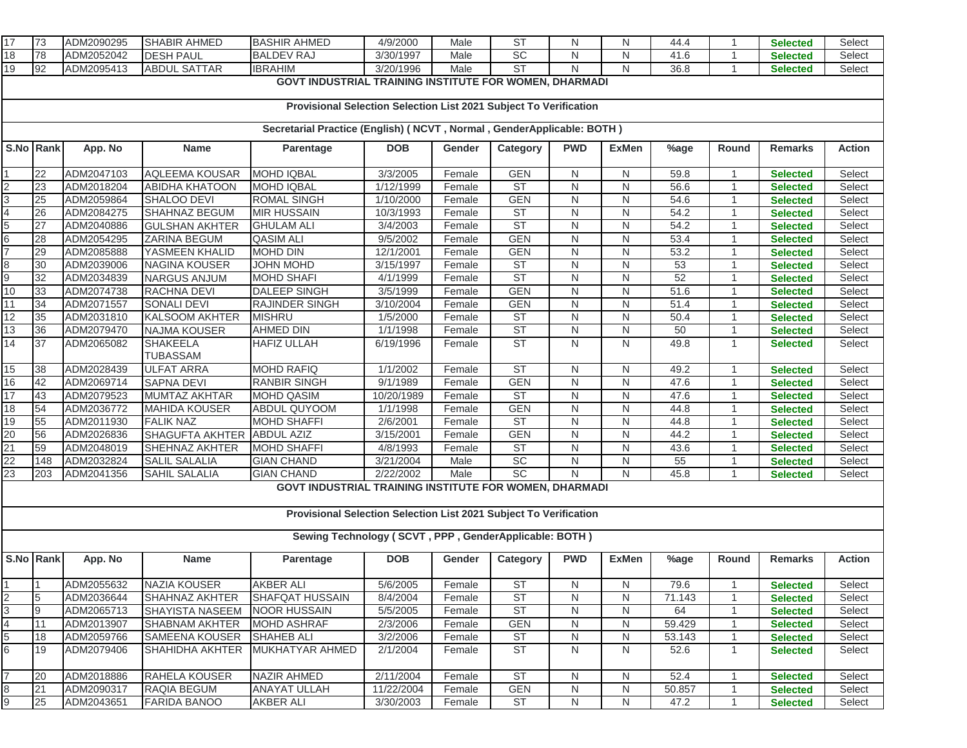| 17                       | 73                                                                     | ADM2090295               | <b>SHABIR AHMED</b>                         | <b>BASHIR AHMED</b>                                               | 4/9/2000             | Male             | ST              | N          | N            | 44.4     | -1                   | <b>Selected</b>                    | Select           |
|--------------------------|------------------------------------------------------------------------|--------------------------|---------------------------------------------|-------------------------------------------------------------------|----------------------|------------------|-----------------|------------|--------------|----------|----------------------|------------------------------------|------------------|
| 18                       | 78                                                                     | ADM2052042               | <b>DESH PAUL</b>                            | <b>BALDEV RAJ</b>                                                 | 3/30/1997            | Male             | <b>SC</b>       | N          | N            | 41.6     |                      | <b>Selected</b>                    | Select           |
| 19                       | 92                                                                     | ADM2095413               | <b>ABDUL SATTAR</b>                         | <b>IBRAHIM</b>                                                    | 3/20/1996            | Male             | <b>ST</b>       | N          | $\mathsf{N}$ | 36.8     | $\overline{1}$       | <b>Selected</b>                    | Select           |
|                          |                                                                        |                          |                                             | GOVT INDUSTRIAL TRAINING INSTITUTE FOR WOMEN, DHARMADI            |                      |                  |                 |            |              |          |                      |                                    |                  |
|                          |                                                                        |                          |                                             |                                                                   |                      |                  |                 |            |              |          |                      |                                    |                  |
|                          | Provisional Selection Selection List 2021 Subject To Verification      |                          |                                             |                                                                   |                      |                  |                 |            |              |          |                      |                                    |                  |
|                          | Secretarial Practice (English) ( NCVT, Normal, GenderApplicable: BOTH) |                          |                                             |                                                                   |                      |                  |                 |            |              |          |                      |                                    |                  |
|                          |                                                                        |                          |                                             |                                                                   |                      |                  |                 |            |              |          |                      |                                    |                  |
| S.No Rank                |                                                                        | App. No                  | <b>Name</b>                                 | Parentage                                                         | <b>DOB</b>           | Gender           | Category        | <b>PWD</b> | <b>ExMen</b> | %age     | Round                | <b>Remarks</b>                     | <b>Action</b>    |
|                          |                                                                        |                          |                                             |                                                                   |                      |                  |                 |            |              |          |                      |                                    |                  |
|                          | 22                                                                     | ADM2047103               | AQLEEMA KOUSAR                              | <b>MOHD IQBAL</b>                                                 | 3/3/2005             | Female           | <b>GEN</b>      | N          | N            | 59.8     | $\overline{1}$       | <b>Selected</b>                    | Select           |
| $\frac{2}{3}$            | 23                                                                     | ADM2018204               | <b>ABIDHA KHATOON</b>                       | <b>MOHD IQBAL</b>                                                 | 1/12/1999            | Female           | <b>ST</b>       | N          | ${\sf N}$    | 56.6     | $\overline{1}$       | <b>Selected</b>                    | Select           |
|                          | 25                                                                     | ADM2059864               | SHALOO DEVI                                 | <b>ROMAL SINGH</b>                                                | 1/10/2000            | Female           | <b>GEN</b>      | N          | N            | 54.6     | $\overline{1}$       | <b>Selected</b>                    | Select           |
| $\overline{4}$           | 26                                                                     | ADM2084275               | SHAHNAZ BEGUM                               | <b>MIR HUSSAIN</b>                                                | 10/3/1993            | Female           | ST              | N          | ${\sf N}$    | 54.2     |                      | Selected                           | Select           |
|                          | 27                                                                     | ADM2040886               | <b>GULSHAN AKHTER</b>                       | <b>GHULAM ALI</b>                                                 | 3/4/2003             | Female           | <b>ST</b>       | N          | $\mathsf{N}$ | 54.2     |                      | <b>Selected</b>                    | Select           |
| $\frac{5}{7}$            | 28                                                                     | ADM2054295               | ZARINA BEGUM                                | <b>QASIM ALI</b>                                                  | 9/5/2002             | Female           | <b>GEN</b>      | N          | N            | 53.4     | $\overline{1}$       | <b>Selected</b>                    | Select           |
|                          | 29                                                                     | ADM2085888               | YASMEEN KHALID                              | <b>MOHD DIN</b>                                                   | 12/1/2001            | Female           | <b>GEN</b>      | N          | ${\sf N}$    | 53.2     | $\overline{1}$       | <b>Selected</b>                    | Select           |
| 8<br>9                   | 30                                                                     | ADM2039006<br>ADM2034839 | <b>NAGINA KOUSER</b><br><b>NARGUS ANJUM</b> | JOHN MOHD<br><b>MOHD SHAFI</b>                                    | 3/15/1997            | Female           | ST<br><b>ST</b> | N<br>N     | N<br>N       | 53<br>52 | $\overline{1}$<br>-1 | <b>Selected</b>                    | Select<br>Select |
| 10                       | 32<br>33                                                               | ADM2074738               | RACHNA DEVI                                 | <b>DALEEP SINGH</b>                                               | 4/1/1999<br>3/5/1999 | Female<br>Female | <b>GEN</b>      | N          | N            | 51.6     | $\mathbf{1}$         | <b>Selected</b>                    | Select           |
| 11                       | 34                                                                     | ADM2071557               | <b>SONALI DEVI</b>                          | RAJINDER SINGH                                                    | 3/10/2004            | Female           | <b>GEN</b>      | N          | N            | 51.4     | $\overline{1}$       | <b>Selected</b><br><b>Selected</b> | Select           |
| 12                       | 35                                                                     | ADM2031810               | <b>KALSOOM AKHTER</b>                       | <b>MISHRU</b>                                                     | 1/5/2000             | Female           | ST              | N          | $\mathsf{N}$ | 50.4     | $\overline{1}$       | <b>Selected</b>                    | Select           |
| 13                       | 36                                                                     | ADM2079470               | <b>NAJMA KOUSER</b>                         | <b>AHMED DIN</b>                                                  | 1/1/1998             | Female           | ST              | N          | N            | 50       | -1                   | Selected                           | Select           |
| 14                       | 37                                                                     | ADM2065082               | <b>SHAKEELA</b>                             | <b>HAFIZ ULLAH</b>                                                | 6/19/1996            | Female           | ST              | N          | $\mathsf{N}$ | 49.8     | $\mathbf{1}$         | <b>Selected</b>                    | Select           |
|                          |                                                                        |                          | TUBASSAM                                    |                                                                   |                      |                  |                 |            |              |          |                      |                                    |                  |
| 15                       | 38                                                                     | ADM2028439               | <b>ULFAT ARRA</b>                           | <b>MOHD RAFIQ</b>                                                 | 1/1/2002             | Female           | <b>ST</b>       | N          | N            | 49.2     | $\overline{1}$       | <b>Selected</b>                    | Select           |
| 16                       | 42                                                                     | ADM2069714               | <b>SAPNA DEVI</b>                           | <b>RANBIR SINGH</b>                                               | 9/1/1989             | Female           | <b>GEN</b>      | N          | N            | 47.6     | $\overline{1}$       | <b>Selected</b>                    | Select           |
| 17                       | 43                                                                     | ADM2079523               | <b>MUMTAZ AKHTAR</b>                        | <b>MOHD QASIM</b>                                                 | 10/20/1989           | Female           | <b>ST</b>       | N          | N            | 47.6     | -1                   | <b>Selected</b>                    | Select           |
| 18                       | 54                                                                     | ADM2036772               | <b>MAHIDA KOUSER</b>                        | <b>ABDUL QUYOOM</b>                                               | 1/1/1998             | Female           | <b>GEN</b>      | N          | N            | 44.8     | $\overline{1}$       | <b>Selected</b>                    | Select           |
| 19                       | 55                                                                     | ADM2011930               | <b>FALIK NAZ</b>                            | <b>MOHD SHAFFI</b>                                                | 2/6/2001             | Female           | <b>ST</b>       | N          | ${\sf N}$    | 44.8     | $\overline{1}$       | <b>Selected</b>                    | Select           |
| 20                       | 56                                                                     | ADM2026836               | SHAGUFTA AKHTER ABDUL AZIZ                  |                                                                   | 3/15/2001            | Female           | <b>GEN</b>      | N          | ${\sf N}$    | 44.2     | $\overline{1}$       | <b>Selected</b>                    | Select           |
| $\overline{21}$          | 59                                                                     | ADM2048019               | SHEHNAZ AKHTER                              | <b>MOHD SHAFFI</b>                                                | 4/8/1993             | Female           | ST              | N          | N            | 43.6     | $\mathbf 1$          | <b>Selected</b>                    | Select           |
| 22                       | 148                                                                    | ADM2032824               | <b>SALIL SALALIA</b>                        | <b>GIAN CHAND</b>                                                 | 3/21/2004            | Male             | <b>SC</b>       | N          | $\mathsf{N}$ | 55       | -1                   | <b>Selected</b>                    | Select           |
| 23                       | 203                                                                    | ADM2041356               | <b>SAHIL SALALIA</b>                        | <b>GIAN CHAND</b>                                                 | 2/22/2002            | Male             | SC              | N          | N            | 45.8     |                      | <b>Selected</b>                    | Select           |
|                          |                                                                        |                          |                                             | GOVT INDUSTRIAL TRAINING INSTITUTE FOR WOMEN, DHARMADI            |                      |                  |                 |            |              |          |                      |                                    |                  |
|                          |                                                                        |                          |                                             |                                                                   |                      |                  |                 |            |              |          |                      |                                    |                  |
|                          |                                                                        |                          |                                             | Provisional Selection Selection List 2021 Subject To Verification |                      |                  |                 |            |              |          |                      |                                    |                  |
|                          |                                                                        |                          |                                             |                                                                   |                      |                  |                 |            |              |          |                      |                                    |                  |
|                          |                                                                        |                          |                                             | Sewing Technology (SCVT, PPP, GenderApplicable: BOTH)             |                      |                  |                 |            |              |          |                      |                                    |                  |
| S.No Rank                |                                                                        | App. No                  | <b>Name</b>                                 | Parentage                                                         | <b>DOB</b>           | Gender           | Category        | <b>PWD</b> | <b>ExMen</b> | %age     | Round                | <b>Remarks</b>                     | <b>Action</b>    |
|                          |                                                                        |                          |                                             |                                                                   |                      |                  |                 |            |              |          |                      |                                    |                  |
|                          |                                                                        | ADM2055632               | <b>NAZIA KOUSER</b>                         | <b>AKBER ALI</b>                                                  | 5/6/2005             | Female           | <b>ST</b>       | N          | N            | 79.6     |                      | <b>Selected</b>                    | Select           |
| $\overline{c}$           | 5                                                                      | ADM2036644               | <b>SHAHNAZ AKHTER</b>                       | <b>SHAFQAT HUSSAIN</b>                                            | 8/4/2004             | Female           | <b>ST</b>       | N          | N            | 71.143   | $\overline{1}$       | <b>Selected</b>                    | Select           |
| 3                        | 9                                                                      | ADM2065713               | SHAYISTA NASEEM                             | <b>NOOR HUSSAIN</b>                                               | 5/5/2005             | Female           | <b>ST</b>       | N          | N            | 64       | $\overline{1}$       | <b>Selected</b>                    | Select           |
| $\overline{\mathcal{A}}$ | 11                                                                     | ADM2013907               | SHABNAM AKHTER                              | <b>MOHD ASHRAF</b>                                                | 2/3/2006             | Female           | <b>GEN</b>      | N          | N            | 59.429   | 1                    | <b>Selected</b>                    | Select           |
| 5                        | 18                                                                     | ADM2059766               | <b>SAMEENA KOUSER</b>                       | <b>SHAHEB ALI</b>                                                 | 3/2/2006             | Female           | <b>ST</b>       | N          | N            | 53.143   | $\mathbf{1}$         | <b>Selected</b>                    | Select           |
| 6                        | 19                                                                     | ADM2079406               | SHAHIDHA AKHTER                             | MUKHATYAR AHMED                                                   | 2/1/2004             | Female           | <b>ST</b>       | N          | N            | 52.6     | $\mathbf{1}$         | <b>Selected</b>                    | Select           |
|                          |                                                                        |                          |                                             |                                                                   |                      |                  |                 |            |              |          |                      |                                    |                  |
| $\overline{7}$           | 20                                                                     | ADM2018886               | RAHELA KOUSER                               | <b>NAZIR AHMED</b>                                                | 2/11/2004            | Female           | <b>ST</b>       | N          | N            | 52.4     | $\overline{1}$       | <b>Selected</b>                    | Select           |
| 8                        | 21                                                                     | ADM2090317               | <b>RAQIA BEGUM</b>                          | <b>ANAYAT ULLAH</b>                                               | 11/22/2004           | Female           | <b>GEN</b>      | N          | N            | 50.857   |                      | <b>Selected</b>                    | Select           |
| 9                        | 25                                                                     | ADM2043651               | <b>FARIDA BANOO</b>                         | <b>AKBER ALI</b>                                                  | 3/30/2003            | Female           | <b>ST</b>       | N          | N            | 47.2     |                      | <b>Selected</b>                    | Select           |